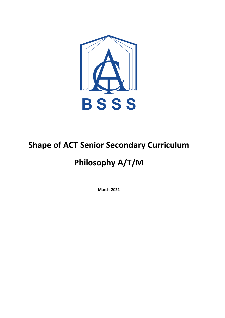

# **Shape of ACT Senior Secondary Curriculum**

# **Philosophy A/T/M**

**March 2022**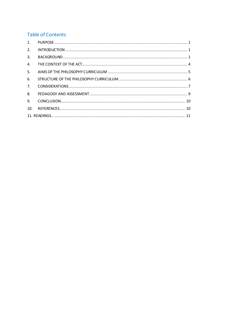# **Table of Contents**

| 2.             |  |  |
|----------------|--|--|
| 3.             |  |  |
| $\mathbf{4}$ . |  |  |
| 5.             |  |  |
| 6.             |  |  |
| 7.             |  |  |
| 8.             |  |  |
| 9.             |  |  |
| 10.            |  |  |
|                |  |  |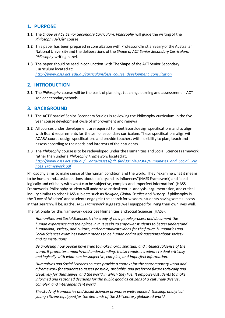# <span id="page-2-0"></span>**1. PURPOSE**

- **1.1** The *Shape of ACT Senior Secondary Curriculum: Philosophy* will guide the writing of the *Philosophy A/T/M* course.
- **1.2** This paper has been prepared in consultation with Professor Christian Barry of the Australian National University and the deliberations of the *Shape of ACT Senior Secondary Curriculum: Philosophy* writing panel.
- **1.3** The paper should be read in conjunction with The Shape of the ACT Senior Secondary Curriculum located at: *[http://www.bsss.act.edu.au/curriculum/bsss\\_course\\_development\\_consultation](http://www.bsss.act.edu.au/curriculum/bsss_course_development_consultation)*

# <span id="page-2-1"></span>**2. INTRODUCTION**

**2.1** The *Philosophy* course will be the basis of planning, teaching, learning and assessment in ACT senior secondary schools.

# <span id="page-2-2"></span>**3. BACKGROUND**

- **3.1** The ACT Board of Senior Secondary Studies is reviewing the Philosophy curriculum in the fiveyear course development cycle of improvement and renewal.
- **3.2** All courses under development are required to meet Board design specifications and to align with Board requirements for the senior secondary curriculum. These specifications align with ACARA course design specifications and provide teachers with flexibility to plan, teach and assess according to the needs and interests of their students.
- **3.3** The *Philosophy* course isto be redeveloped under the Humanities and Social Science Framework rather than under a *Philosophy Framework* located at: *[http://www.bsss.act.edu.au/\\_\\_data/assets/pdf\\_file/0017/437300/Humanities\\_and\\_Social\\_Scie](http://www.bsss.act.edu.au/__data/assets/pdf_file/0017/437300/Humanities_and_Social_Sciences_Framework.pdf) [nces\\_Framework.pdf](http://www.bsss.act.edu.au/__data/assets/pdf_file/0017/437300/Humanities_and_Social_Sciences_Framework.pdf)*

Philosophy aims to make sense of the human condition and the world. They "examine what it means to be human and… ask questions about society and its influences"(HASS Framework) and "deal logically and critically with what can be subjective, complex and imperfect information" (HASS Framework). Philosophy student will undertake critical textual analysis, argumentation, and critical inquiry similar to other HASS subjects such as *Religion, Global Studies* and *History.* If philosophy is the 'Love of Wisdom' and students engage in the search for wisdom, students having some success in that search will be, as the *HASS Framework* suggests, well equipped for living their own lives well.

The rationale for this framework describes Humanities and Social Sciences (HASS):

*Humanities and Social Sciences is the study of how people process and document the human experience and their place in it. It seeks to empower students to better understand humankind, society, and culture, and communicate ideas for the future. Humanities and Social Sciences examines what it means to be human and to ask questions about society and its institutions.*

*By analysing how people have tried to make moral, spiritual, and intellectual sense of the world, it promotes empathy and understanding. It also requires students to deal critically and logically with what can be subjective, complex, and imperfect information.*

*Humanities and Social Sciences courses provide a context for the contemporary world and a framework for students to assess possible, probable, and preferred futures critically and creatively for themselves, and the world in which they live. It empowers students to make informed and reasoned decisions for the public good as citizens of a culturally diverse, complex, and interdependent world.*

*The study of Humanities and Social Sciences promotes well-rounded, thinking, analytical young citizens equipped for the demands of the 21st century globalised world.*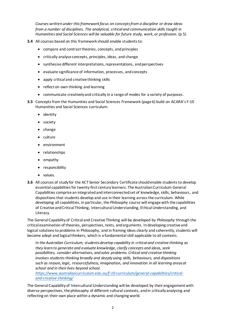*Courses written under this framework focus on concepts from a discipline or draw ideas from a number of disciplines. The analytical, critical and communication skills taught in Humanities and Social Sciences will be valuable for future study, work, or profession.* (p.5)

- **3.4** All courses based on this framework should enable students to:
	- compare and contrast theories, concepts, and principles
	- critically analyse concepts, principles, ideas, and change
	- synthesise different interpretations, representations, and perspectives
	- evaluate significance of information, processes, and concepts
	- apply critical and creative thinking skills
	- reflect on own thinking and learning
	- communicate creatively and critically in a range of modes for a variety of purposes.
- **3.5** Concepts from the Humanities and Social Sciences Framework (page 6) build on ACARA's F-10 Humanities and Social Sciences curriculum:
	- identity
	- society
	- change
	- culture
	- environment
	- relationships
	- empathy
	- responsibility
	- values.
- **3.6** All courses of study for the ACT Senior Secondary Certificate should enable students to develop essential capabilities for twenty-first century learners. The Australian Curriculum General Capabilities comprise an integrated and interconnected set of knowledge, skills, behaviours, and dispositions that students develop and use in their learning across the curriculum. While developing all capabilities, in particular, the *Philosophy* course will engage with the capabilities of Creative and Critical Thinking, Intercultural Understanding, Ethical Understanding, and Literacy.

The General Capability of Critical and Creative Thinking will be developed by *Philosophy* through the critical examination of theories, perspectives, texts, and arguments. In developing creative and logical solutions to problems in Philosophy, and in framing ideas clearly and coherently, students will become adept and logical thinkers, which is a fundamental skill applicable to all contexts.

*In the Australian Curriculum, students develop capability in critical and creative thinking as they learn to generate and evaluate knowledge, clarify concepts and ideas, seek possibilities, consider alternatives, and solve problems. Critical and creative thinking involves students thinking broadly and deeply using skills, behaviours, and dispositions such as reason, logic, resourcefulness, imagination, and innovation in all learning areas at school and in their lives beyond school.*

*[https://www.australiancurriculum.edu.au/f-10-curriculum/general-capabilities/critical](https://www.australiancurriculum.edu.au/f-10-curriculum/general-capabilities/critical-and-creative-thinking/)[and-creative-thinking/](https://www.australiancurriculum.edu.au/f-10-curriculum/general-capabilities/critical-and-creative-thinking/)*

The General Capability of Intercultural Understanding will be developed by their engagement with diverse perspectives, the philosophy of different cultural contexts, and in critically analysing and reflecting on their own place within a dynamic and changing world.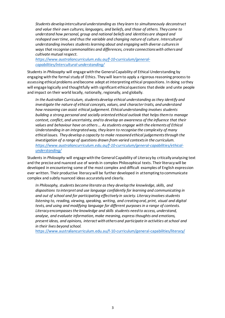*Students develop intercultural understanding as they learn to simultaneously deconstruct and value their own cultures, languages, and beliefs, and those of others. They come to understand how personal, group and national beliefs and identities are shaped and reshaped over time, and thus the variable and changing nature of culture. Intercultural understanding involves students learning about and engaging with diverse cultures in ways that recognise commonalities and differences, create connections with others and cultivate mutual respect.*

*[https://www.australiancurriculum.edu.au/f-10-curriculum/general](https://www.australiancurriculum.edu.au/f-10-curriculum/general-capabilities/intercultural-understanding/)[capabilities/intercultural-understanding/](https://www.australiancurriculum.edu.au/f-10-curriculum/general-capabilities/intercultural-understanding/)*

Students in *Philosophy* will engage with the General Capability of Ethical Understanding by engaging with the formal study of Ethics. They will learn to apply a rigorous reasoning process to assessing ethical problems and become adept at interpreting ethical propositions. In doing so they will engage logically and thoughtfully with significant ethical questions that divide and unite people and impact on their world locally, nationally, regionally, and globally.

*In the Australian Curriculum, students develop ethical understanding as they identify and investigate the nature of ethical concepts, values, and character traits, and understand how reasoning can assist ethical judgement. Ethical understanding involves students building a strong personal and socially oriented ethical outlook that helps them to manage context, conflict, and uncertainty, and to develop an awareness of the influence that their values and behaviour have on others … As students engage with the elements of Ethical Understanding in an integrated way, they learn to recognise the complexity of many ethical issues. They develop a capacity to make reasoned ethical judgements through the investigation of a range of questions drawn from varied contexts in the curriculum. [https://www.australiancurriculum.edu.au/f-10-curriculum/general-capabilities/ethical](https://www.australiancurriculum.edu.au/f-10-curriculum/general-capabilities/ethical-understanding/)[understanding/](https://www.australiancurriculum.edu.au/f-10-curriculum/general-capabilities/ethical-understanding/)*

Students in *Philosophy* will engage with the General Capability of Literacy by critically analysing text and the precise and nuanced use of words in complex Philosophical texts. Their literacy will be developed in encountering some of the most complex and difficult examples of English expression ever written. Their productive literacy will be further developed in attempting to communicate complex and subtly nuanced ideas accurately and clearly.

*In Philosophy, students become literate as they develop the knowledge, skills, and dispositions to interpret and use language confidently for learning and communicating in and out of school and for participating effectively in society. Literacy involves students listening to, reading, viewing, speaking, writing, and creating oral, print, visual and digital texts, and using and modifying language for different purposes in a range of contexts. Literacy encompasses the knowledge and skills students need to access, understand, analyse, and evaluate information, make meaning, express thoughts and emotions, present ideas, and opinions, interact with others and participate in activities at school and in their lives beyond school.*

<https://www.australiancurriculum.edu.au/f-10-curriculum/general-capabilities/literacy/>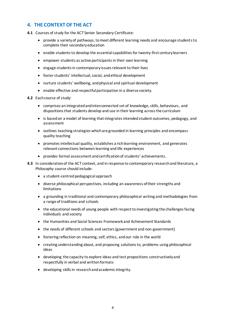# <span id="page-5-0"></span>**4. THE CONTEXT OF THE ACT**

- **4.1** Courses of study for the ACT Senior Secondary Certificate:
	- provide a variety of pathways, to meet different learning needs and encourage students to complete their secondary education
	- enable students to develop the essential capabilities for twenty-first century learners
	- empower students as active participants in their own learning
	- engage students in contemporary issues relevant to their lives
	- foster students' intellectual, social, and ethical development
	- nurture students' wellbeing, and physical and spiritual development
	- enable effective and respectful participation in a diverse society.
- **4.2** Each course of study:
	- comprises an integrated and interconnected set of knowledge, skills, behaviours, and dispositions that students develop and use in their learning across the curriculum
	- is based on a model of learning that integrates intended student outcomes, pedagogy, and assessment
	- outlines teaching strategies which are grounded in learning principles and encompass quality teaching
	- promotes intellectual quality, establishes a rich learning environment, and generates relevant connections between learning and life experiences
	- provides formal assessment and certification of students' achievements.
- **4.3** In consideration of the ACT context, and in response to contemporary research and literature, a Philosophy course should include:
	- a student-centred pedagogical approach
	- diverse philosophical perspectives, including an awareness of their strengths and limitations
	- a grounding in traditional and contemporary philosophical writing and methodologies from a range of traditions and schools
	- the educational needs of young people with respect to investigating the challenges facing individuals and society
	- the Humanities and Social Sciences Framework and Achievement Standards
	- the needs of different schools and sectors (government and non-government)
	- fostering reflection on meaning, self, ethics, and our role in the world
	- creating understanding about, and proposing solutions to, problems using philosophical ideas
	- developing the capacity to explore ideas and test propositions constructively and respectfully in verbal and written formats
	- developing skills in research and academic integrity.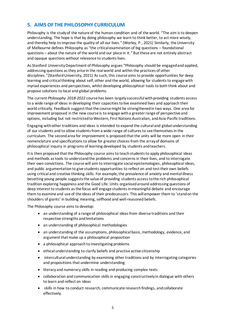# <span id="page-6-0"></span>**5. AIMS OF THE PHILOSOPHY CURRICULUM**

Philosophy is the study of the nature of the human condition and of the world. "The aim is to deepen understanding. The hope is that by doing philosophy we learn to think better, to act more wisely, and thereby help to improve the quality of all our lives." (Worley, P., 2021) Similarly, the University of Melbourne defines Philosophy as "the critical examination of big questions – foundational questions – about the nature of the world and our place in it." But these are not entirely abstract and opaque questions without relevance to students lives.

As Stanford University Department of Philosophy argues "Philosophy should be engaged and applied, addressing questions as they arise in the real world and within the practices of other disciplines."(Stanford University, 2021) As such, this course aims to provide opportunities for deep learning and critical thinking about self, other and the world, allowing for students to engage with myriad experiences and perspectives, whilst developing philosophical tools to both think about and propose solutions to local and global problems.

The current *Philosophy 2018-2022* course has been largely successful with providing students access to a wide range of ideas in developing their capacities to live examined lives and approach their world critically. Feedback suggest that the course might be strengthened in two ways. One area for improvement proposed in the new course is to engage with a greater range of perspective and options, including but not restricted to Western, First Nations Australian, and Asia-Pacific traditions.

Engaging with other traditions and ideas is intended to expand the cultural and global understanding of our students and to allow students from a wide range of cultures to see themselves in the curriculum. The second area for improvement is proposed that the units will be more open in their nomenclature and specifications to allow for greater choices from the array of domains of philosophical inquiry in programs of learning developed by students and teachers.

It is then proposed that the Philosophy course aimsto teach students to apply philosophical ideas and methods as tools to understand the problems and concerns in their lives, and to interrogate their own convictions. The course will aim to interrogate social epistemologies, philosophical ideas, and public argumentation to give students opportunities to reflect on and test their own beliefs using critical and creative thinking skills. For example, the prevalence of anxiety and mental illness besetting young people suggests the value of providing students access to the rich philosophical tradition exploring happiness and the Good Life. Units organised around addressing questions of deep interest to students as the focus will engage students in meaningful debate and encourage them to examine and use of the ideas of their predecessors. This will empower them to 'stand on the shoulders of giants' in building meaning, selfhood and well-reasoned beliefs.

The Philosophy course aims to develop:

- an understanding of a range of philosophical ideas from diverse traditions and their respective strengths and limitations
- an understanding of philosophical methodologies
- an understanding of the assumptions, philosophical basis, methodology, evidence, and argument that make up a philosophical proposition
- a philosophical approach to investigating problems
- ethical understanding to clarify beliefs and practise active citizenship
- intercultural understanding by examining other traditions and by interrogating categories and propositions that undermine understanding
- literacy and numeracy skills in reading and producing complex texts
- collaboration and communication skills in engaging constructively in dialogue with others to learn and reflect on ideas
- skills in how to conduct research, communicate research findings, and collaborate effectively.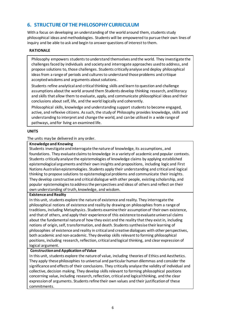# <span id="page-7-0"></span>**6. STRUCTURE OF THE PHILOSOPHY CURRICULUM**

With a focus on developing an understanding of the world around them, students study philosophical ideas and methodologies. Students will be empowered to pursue their own lines of inquiry and be able to ask and begin to answer questions of interest to them.

#### **RATIONALE**

Philosophy empowers students to understand themselves and the world. They investigate the challenges faced by individuals and society and interrogate approaches used to address, and propose solutions to, those challenges. Students critically analyse and deploy philosophical ideas from a range of periods and cultures to understand those problems and critique acceptedwisdoms and arguments about solutions.

Students refine analytical and critical thinking skills and learn to question and challenge assumptions about the world around them Students develop thinking research, andliteracy and skills that allow them to evaluate, apply, and communicate philosophical ideas and their conclusions about self, life, and the world logically and coherently.

Philosophical skills, knowledge and understanding support students to become engaged, active, and reflexive citizens. As such, the study of Philosophy provides knowledge, skills and understanding to interpret and change the world, and can be utilised in a wide range of pathways, and for living an examined life.

#### **UNITS**

#### The units may be delivered in any order.

#### **Knowledge and Knowing**

Students investigate and interrogate the nature of knowledge, its assumptions, and foundations. They evaluate claims to knowledge in a variety of academic and popular contexts. Students critically analyse the epistemologies of knowledge claims by applying established epistemological arguments and their own insights and propositions, including logic and First Nations Australian epistemologies. Students apply their understanding and critical and logical thinking to propose solutions to epistemological problems and communicate their insights. They develop constructive and critical dialogue with other people, existing scholarship, and popular epistemologies to address the perspectives and ideas of others and reflect on their own understanding of truth, knowledge, and wisdom.

#### **Existence and Reality**

In this unit, students explore the nature of existence and reality. They interrogate the philosophical notions of existence and reality by drawing on philosophies from a range of traditions, including Metaphysics. Students examine their assumption of their own existence, and that of others, and apply their experience of this existence to evaluate universal claims about the fundamental nature of how they exist and the reality that they exist in, including notions of origin, self, transformation, and death. Students synthesise their learning of philosophies of existence and reality in critical and creative dialogues with other perspectives, both academic and non-academic. They develop skills relevant to forming philosophical positions, including research, reflection, critical and logical thinking, and clear expression of logical argument.

#### **Construction and Application of Value**

In this unit, students explore the nature of value, including theories of Ethics and Aesthetics. They apply these philosophies to universal and particular human dilemmas and consider the significance and effects of their conclusions. They critically analyse the validity of individual and collective, decision making. They develop skills relevant to forming philosophical positions concerning value, including research, reflection, critical and logical thinking, and the clear expression of arguments. Students refine their own values and their justification of these commitments.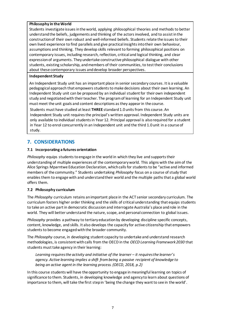#### **Philosophy in the World**

Students investigate issues in the world, applying philosophical theories and methods to better understand the beliefs, judgements and thinking of the actors involved, and to assist in the construction of their own robust and well-informed beliefs. Students relate the issues to their own lived experience to find parallels and give practical insights into their own behaviour, assumptions and thinking. They develop skills relevant to forming philosophical positions on contemporary issues, including research, reflection, critical and logical thinking, and clear expression of arguments. They undertake constructive philosophical dialogue with other students, existing scholarship, and members of their communities, to test their conclusions about these contemporary issues and develop broader perspectives.

### **Independent Study**

An Independent Study unit has an important place in senior secondary courses. It is a valuable pedagogical approach that empowers students to make decisions about their own learning. An Independent Study unit can be proposed by an individual student for their own independent study and negotiated with their teacher. The program of learning for an Independent Study unit must meet the unit goals and content descriptions as they appear in the course.

Students must have studied at least **THREE** standard 1.0 units from this course. An Independent Study unit requires the principal's written approval. Independent Study units are only available to individual students in Year 12. Principal approval is also required for a student in Year 12 to enrol concurrently in an Independent unit and the third 1.0 unit in a course of study.

# <span id="page-8-0"></span>**7. CONSIDERATIONS**

## **7.1 Incorporating a futures orientation**

*Philosophy* equips students to engage in the world in which they live and supports their understanding of multiple experiences of the contemporary world. This aligns with the aim of the Alice Springs Mparntwe Education Declaration, which callsfor students to be "active and informed members of the community." Students undertaking *Philosophy* focus on a course of study that enablesthem to engage with and understand their world and the multiple paths that a global world offers them.

## **7.2 Philosophy curriculum**

The *Philosophy* curriculum retains an important place in the ACT senior secondary curriculum. The curriculum fosters higher order thinking and the skills of critical understanding that equips students to take an active part in democratic discussion and interrogate Australia's place and role in the world. They will better understand the nature, scope, and personal connection to global issues.

*Philosophy* provides a pathway to tertiary education by developing discipline specific concepts, content, knowledge, and skills. It also develops the capacity for active citizenship that empowers students to become engaged with the broader community.

The *Philosophy* course, in developing student capacity to undertake and understand research methodologies, is consistent with calls from the OECD in the *OECD Learning Framework 2030* that students must take agency in their learning:

*Learning requires the activity and initiative of the learner – it requires the learner's agency. Active learning implies a shift from being a passive recipient of knowledge to being an active agent in the learning process. (OECD, 2018, p.2)*

In this course students will have the opportunity to engage in meaningful learning on topics of significance to them. Students, in developing knowledge and agency to learn about questions of importance to them, will take the first step in 'being the change they want to see in the world'.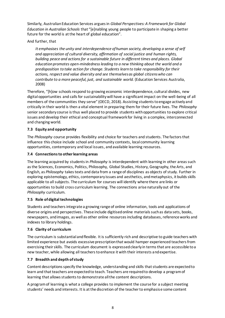Similarly, Australian Education Services argues in *Global Perspectives: A Framework for Global Education in Australian Schools* that "[e]nabling young people to participate in shaping a better future for the world is at the heart of global education".

And further, that

*It emphasises the unity and interdependence of human society, developing a sense of self and appreciation of cultural diversity, affirmation of social justice and human rights, building peace and actions for a sustainable future in different times and places. Global education promotes open-mindedness leading to a new thinking about the world and a predisposition to take action for change. Students learn to take responsibility for their actions, respect and value diversity and see themselves as global citizens who can contribute to a more peaceful, just, and sustainable world.* (Education Services Australia, 2008)

Therefore, "[h]ow schools respond to growing economic interdependence, cultural divides, new digital opportunities and calls for sustainability will have a significant impact on the well-being of all members of the communities they serve" (OECD, 2018). Assisting students to engage actively and critically in their world is then a vital element in preparing them for their future lives. The *Philosophy* senior secondary course is thus well placed to provide students with opportunities to explore critical issues and develop their ethical and conceptual framework for living in a complex, interconnected and changing world.

## **7.3 Equity and opportunity**

The *Philosophy* course provides flexibility and choice for teachers and students. The factors that influence this choice include school and community contexts, local community learning opportunities, contemporary and local issues, and available learning resources.

### **7.4 Connections to other learning areas**

The learning acquired by students in *Philosophy* is interdependent with learning in other areas such as the Sciences, Economics, Politics, Philosophy, Global Studies, History, Geography, the Arts, and English, as *Philosophy* takes texts and data from a range of disciplines as objects of study. Further in exploring epistemology, ethics, contemporary issues and aesthetics, and metaphysics, it builds skills applicable to all subjects. The curriculum for courses will identify where there are links or opportunities to build cross curriculum learning. The connections arise naturally out of the *Philosophy* curriculum.

## **7.5 Role of digital technologies**

Students and teachers integrate a growing range of online information, tools and applications of diverse origins and perspectives. These include digitised online materials such as data sets, books, newspapers, andimages, as well as other online resources including databases, reference works and indexes to library holdings.

#### **7.6 Clarity of curriculum**

The curriculum is substantial and flexible. It is sufficiently rich and descriptive to guide teachers with limited experience but avoids excessive prescription that would hamper experienced teachers from exercising their skills. The curriculum document is expressed clearly in terms that are accessible to a new teacher, while allowing all teachers to enhance it with their interests and expertise.

## **7.7 Breadth and depth of study**

Content descriptions specify the knowledge, understanding and skills that students are expected to learn and that teachers are expected to teach. Teachers are required to develop a program of learning that allows students to demonstrate all the content descriptions.

A program of learning is what a college provides to implement the course for a subject meeting students' needs and interests. It is at the discretion of the teacher to emphasise some content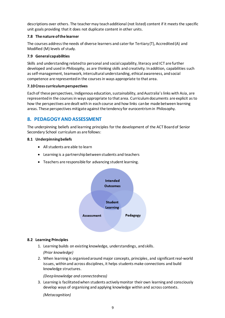descriptions over others. The teacher may teach additional (not listed) content if it meets the specific unit goals providing that it does not duplicate content in other units.

### **7.8 The nature of the learner**

The courses address the needs of diverse learners and cater for Tertiary (T), Accredited (A) and Modified (M) levels of study.

#### **7.9 General capabilities**

Skills and understanding related to personal and social capability, literacy and ICT are further developed and used in *Philosophy*, as are thinking skills and creativity. In addition, capabilities such as self-management, teamwork, intercultural understanding, ethical awareness, and social competence are represented in the coursesin ways appropriate to that area.

### **7.10 Cross curriculum perspectives**

Each of these perspectives, Indigenous education, sustainability, and Australia's links with Asia, are represented in the coursesin ways appropriate to that area. Curriculum documents are explicit as to how the perspectives are dealt with in each course and how links can be made between learning areas. These perspectives mitigate against the tendency for eurocentrism in Philosophy.

# <span id="page-10-0"></span>**8. PEDAGOGY AND ASSESSMENT**

The underpinning beliefs and learning principles for the development of the ACT Board of Senior Secondary School curriculum as are follows:

### **8.1 Underpinning beliefs**

- All students are able to learn
- Learning is a partnership between students and teachers
- Teachers are responsible for advancing student learning.



#### **8.2 Learning Principles**

- 1. Learning builds on existing knowledge, understandings, and skills. *(Prior knowledge)*
- 2. When learning is organised around major concepts, principles, and significant real-world issues, within and across disciplines, it helps students make connections and build knowledge structures.

*(Deep knowledge and connectedness)*

3. Learning is facilitated when students actively monitor their own learning and consciously develop ways of organising and applying knowledge within and across contexts.

*(Metacognition)*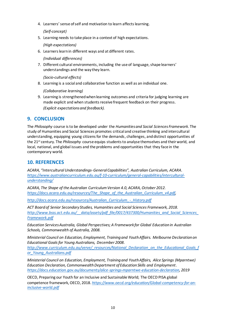4. Learners' sense of self and motivation to learn affects learning.

*(Self-concept)*

5. Learning needs to take place in a context of high expectations.

*(High expectations)*

6. Learners learn in different ways and at different rates.

*(Individual differences)*

7. Different cultural environments, including the use of language, shape learners' understandings and the way they learn.

*(Socio-cultural effects)*

8. Learning is a social and collaborative function as well as an individual one.

*(Collaborative learning)*

9. Learning is strengthened when learning outcomes and criteria for judging learning are made explicit and when students receive frequent feedback on their progress. *(Explicit expectations and feedback).*

# <span id="page-11-0"></span>**9. CONCLUSION**

The *Philosophy* course isto be developed under the *Humanities and Social Sciences Framework*. The study of Humanities and Social Sciences promotes critical and creative thinking and intercultural understanding, equipping young citizens for the demands, challenges, and distinct opportunities of the 21st century. The *Philosophy* course equips students to analyse themselves and their world, and local, national, and global issues and the problems and opportunities that they face in the contemporary world.

# <span id="page-11-1"></span>**10. REFERENCES**

*ACARA, "Intercultural Understandings-General Capabilities", Australian Curriculum, ACARA. [https://www.australiancurriculum.edu.au/f-10-curriculum/general-capabilities/intercultural](https://www.australiancurriculum.edu.au/f-10-curriculum/general-capabilities/intercultural-understanding/)[understanding/](https://www.australiancurriculum.edu.au/f-10-curriculum/general-capabilities/intercultural-understanding/)*

*ACARA, The Shape of the Australian Curriculum Version 4.0, ACARA, October 2012. [https://docs.acara.edu.au/resources/The\\_Shape\\_of\\_the\\_Australian\\_Curriculum\\_v4.pdf,](https://docs.acara.edu.au/resources/The_Shape_of_the_Australian_Curriculum_v4.pdf)*

*[http://docs.acara.edu.au/resources/Australian\\_Curriculum\\_-\\_History.pdf](http://docs.acara.edu.au/resources/Australian_Curriculum_-_History.pdf)*

*ACT Board of Senior Secondary Studies, Humanities and Social Sciences Framework, 2018. [http://www.bsss.act.edu.au/\\_\\_data/assets/pdf\\_file/0017/437300/Humanities\\_and\\_Social\\_Sciences\\_](http://www.bsss.act.edu.au/__data/assets/pdf_file/0017/437300/Humanities_and_Social_Sciences_Framework.pdf) [Framework.pdf](http://www.bsss.act.edu.au/__data/assets/pdf_file/0017/437300/Humanities_and_Social_Sciences_Framework.pdf)*

*Education Services Australia, Global Perspectives; A Framework for Global Education in Australian Schools, Commonwealth of Australia, 2008.*

*Ministerial Council on Education, Employment, Training and Youth Affairs. Melbourne Declaration on Educational Goals for Young Australians, December 2008. [http://www.curriculum.edu.au/verve/\\_resources/National\\_Declaration\\_on\\_the\\_Educational\\_Goals\\_f](http://www.curriculum.edu.au/verve/_resources/National_Declaration_on_the_Educational_Goals_for_Young_Australians.pdf)*

*[or\\_Young\\_Australians.pdf](http://www.curriculum.edu.au/verve/_resources/National_Declaration_on_the_Educational_Goals_for_Young_Australians.pdf)*

*Ministerial Council on Education, Employment, Training and Youth Affairs, Alice Springs (Mparntwe) Education Declaration, Commonwealth Department of Education Skills and Employment. <https://docs.education.gov.au/documents/alice-springs-mparntwe-education-declaration>, 2019*

OECD, Preparing our Youth for an Inclusive and Sustainable World; The OECD PISA global competence framework, OECD, 2018. *[https://www.oecd.org/education/Global-competency-for-an](https://www.oecd.org/education/Global-competency-for-an-inclusive-world.pdf)[inclusive-world.pdf](https://www.oecd.org/education/Global-competency-for-an-inclusive-world.pdf)*